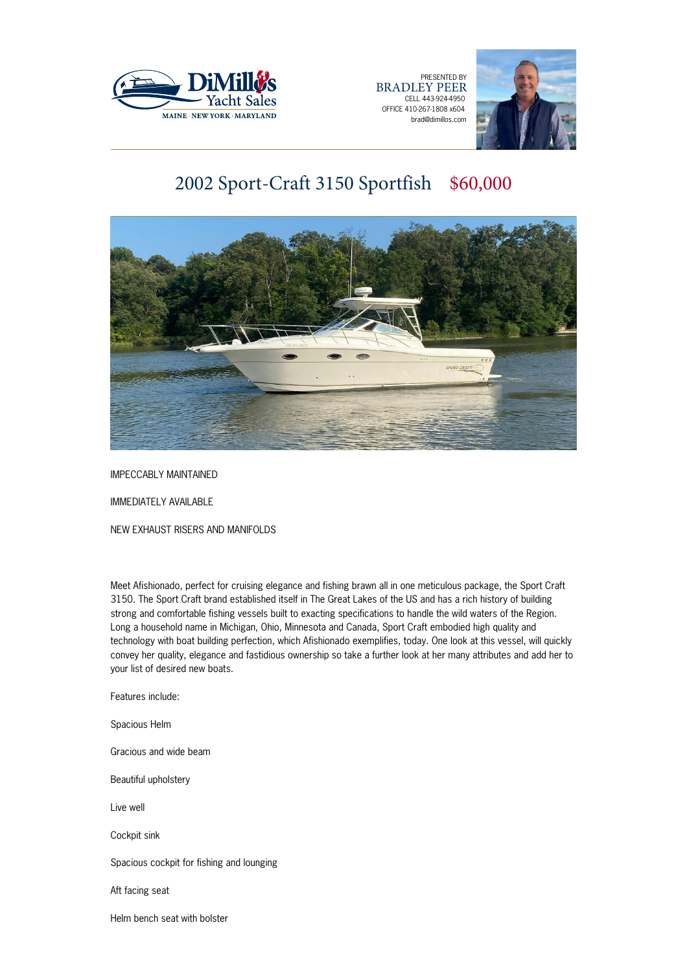

PRESENTED BY BRADLEY PEER CELL 443-924-4950 OFFICE 410-267-1808 x604 brad@dimillos.com



# 2002 Sport-Craft 3150 Sportfish \$60,000



IMPECCABLY MAINTAINED

IMMEDIATELY AVAILABLE

NEW EXHAUST RISERS AND MANIFOLDS

Meet Afishionado, perfect for cruising elegance and fishing brawn all in one meticulous package, the Sport Craft 3150. The Sport Craft brand established itself in The Great Lakes of the US and has a rich history of building strong and comfortable fishing vessels built to exacting specifications to handle the wild waters of the Region. Long a household name in Michigan, Ohio, Minnesota and Canada, Sport Craft embodied high quality and technology with boat building perfection, which Afishionado exemplifies, today. One look at this vessel, will quickly convey her quality, elegance and fastidious ownership so take a further look at her many attributes and add her to your list of desired new boats.

Features include:

Spacious Helm

Gracious and wide beam

Beautiful upholstery

Live well

Cockpit sink

Spacious cockpit for fishing and lounging

Aft facing seat

Helm bench seat with bolster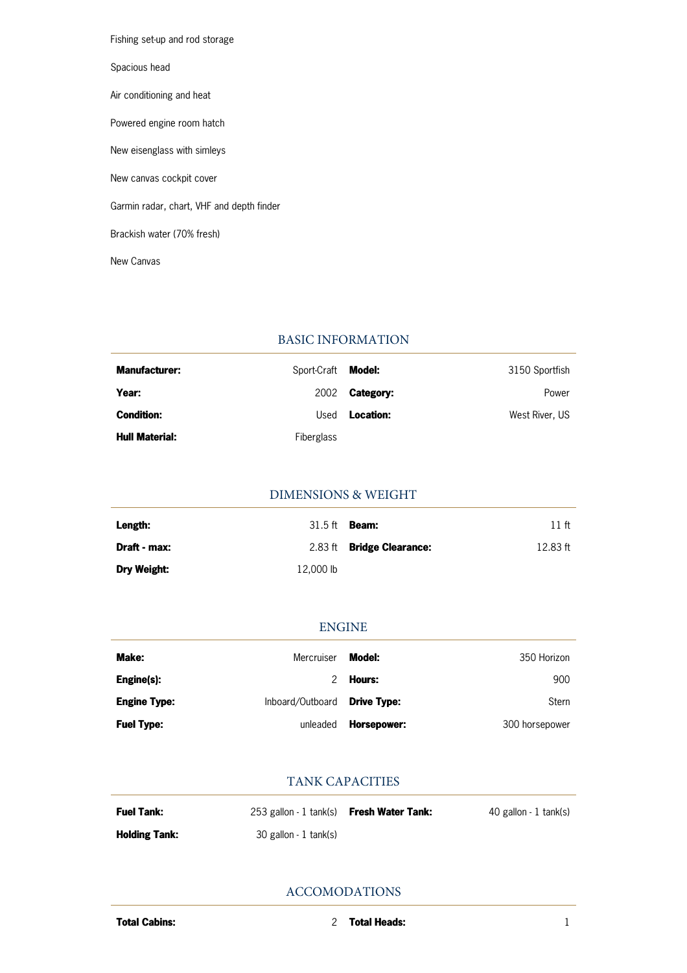Fishing set-up and rod storage Spacious head Air conditioning and heat Powered engine room hatch New eisenglass with simleys New canvas cockpit cover Garmin radar, chart, VHF and depth finder Brackish water (70% fresh) New Canvas

#### BASIC INFORMATION

| <b>Manufacturer:</b>  | Sport-Craft       | Model:           | 3150 Sportfish |
|-----------------------|-------------------|------------------|----------------|
| Year:                 | 2002              | <b>Category:</b> | Power          |
| <b>Condition:</b>     | Used              | Location:        | West River, US |
| <b>Hull Material:</b> | <b>Fiberglass</b> |                  |                |

### DIMENSIONS & WEIGHT

| Length:            | $31.5$ ft | Beam:                            | 11 ft    |
|--------------------|-----------|----------------------------------|----------|
| Draft - max:       |           | 2.83 ft <b>Bridge Clearance:</b> | 12.83 ft |
| <b>Dry Weight:</b> | 12,000 lb |                                  |          |

#### ENGINE

| Make:               | Mercruiser       | Model:             | 350 Horizon    |
|---------------------|------------------|--------------------|----------------|
| Engine(s):          |                  | Hours:             | 900            |
| <b>Engine Type:</b> | Inboard/Outboard | <b>Drive Type:</b> | Stern          |
| <b>Fuel Type:</b>   | unleaded         | Horsepower:        | 300 horsepower |

#### TANK CAPACITIES

| <b>Fuel Tank:</b>    | 253 gallon - 1 tank(s) <b>Fresh Water Tank:</b> | 40 gallon - 1 tank(s) |
|----------------------|-------------------------------------------------|-----------------------|
| <b>Holding Tank:</b> | 30 gallon - 1 tank(s)                           |                       |

ACCOMODATIONS